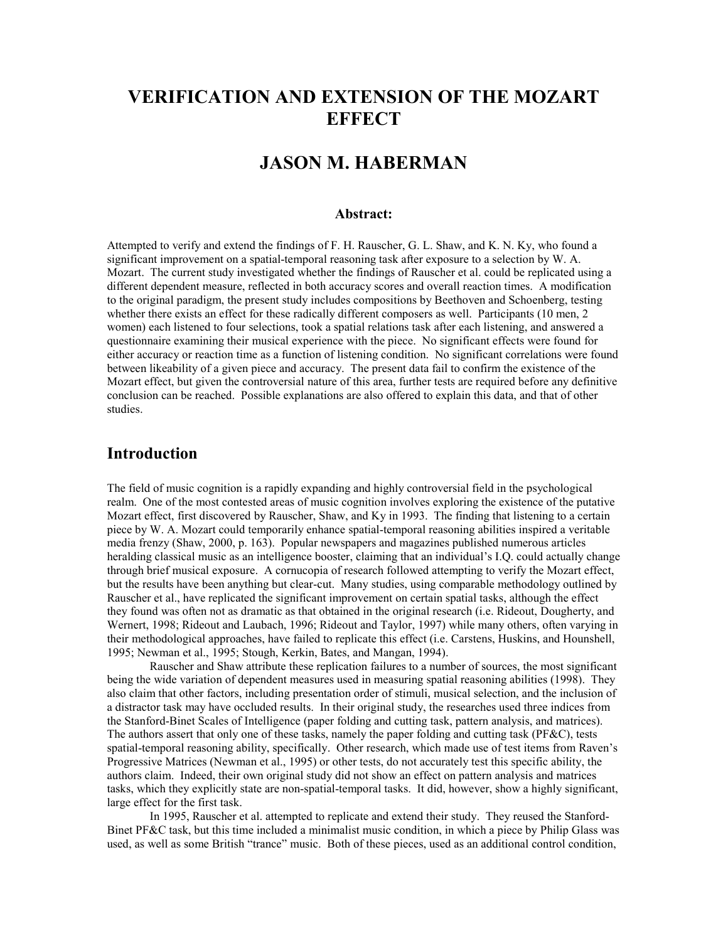## **VERIFICATION AND EXTENSION OF THE MOZART EFFECT**

# **JASON M. HABERMAN**

#### **Abstract:**

Attempted to verify and extend the findings of F. H. Rauscher, G. L. Shaw, and K. N. Ky, who found a significant improvement on a spatial-temporal reasoning task after exposure to a selection by W. A. Mozart. The current study investigated whether the findings of Rauscher et al. could be replicated using a different dependent measure, reflected in both accuracy scores and overall reaction times. A modification to the original paradigm, the present study includes compositions by Beethoven and Schoenberg, testing whether there exists an effect for these radically different composers as well. Participants (10 men, 2 women) each listened to four selections, took a spatial relations task after each listening, and answered a questionnaire examining their musical experience with the piece. No significant effects were found for either accuracy or reaction time as a function of listening condition. No significant correlations were found between likeability of a given piece and accuracy. The present data fail to confirm the existence of the Mozart effect, but given the controversial nature of this area, further tests are required before any definitive conclusion can be reached. Possible explanations are also offered to explain this data, and that of other studies.

## **Introduction**

The field of music cognition is a rapidly expanding and highly controversial field in the psychological realm. One of the most contested areas of music cognition involves exploring the existence of the putative Mozart effect, first discovered by Rauscher, Shaw, and Ky in 1993. The finding that listening to a certain piece by W. A. Mozart could temporarily enhance spatial-temporal reasoning abilities inspired a veritable media frenzy (Shaw, 2000, p. 163). Popular newspapers and magazines published numerous articles heralding classical music as an intelligence booster, claiming that an individual's I.Q. could actually change through brief musical exposure. A cornucopia of research followed attempting to verify the Mozart effect, but the results have been anything but clear-cut. Many studies, using comparable methodology outlined by Rauscher et al., have replicated the significant improvement on certain spatial tasks, although the effect they found was often not as dramatic as that obtained in the original research (i.e. Rideout, Dougherty, and Wernert, 1998; Rideout and Laubach, 1996; Rideout and Taylor, 1997) while many others, often varying in their methodological approaches, have failed to replicate this effect (i.e. Carstens, Huskins, and Hounshell, 1995; Newman et al., 1995; Stough, Kerkin, Bates, and Mangan, 1994).

 Rauscher and Shaw attribute these replication failures to a number of sources, the most significant being the wide variation of dependent measures used in measuring spatial reasoning abilities (1998). They also claim that other factors, including presentation order of stimuli, musical selection, and the inclusion of a distractor task may have occluded results. In their original study, the researches used three indices from the Stanford-Binet Scales of Intelligence (paper folding and cutting task, pattern analysis, and matrices). The authors assert that only one of these tasks, namely the paper folding and cutting task (PF&C), tests spatial-temporal reasoning ability, specifically. Other research, which made use of test items from Raven's Progressive Matrices (Newman et al., 1995) or other tests, do not accurately test this specific ability, the authors claim. Indeed, their own original study did not show an effect on pattern analysis and matrices tasks, which they explicitly state are non-spatial-temporal tasks. It did, however, show a highly significant, large effect for the first task.

 In 1995, Rauscher et al. attempted to replicate and extend their study. They reused the Stanford-Binet PF&C task, but this time included a minimalist music condition, in which a piece by Philip Glass was used, as well as some British "trance" music. Both of these pieces, used as an additional control condition,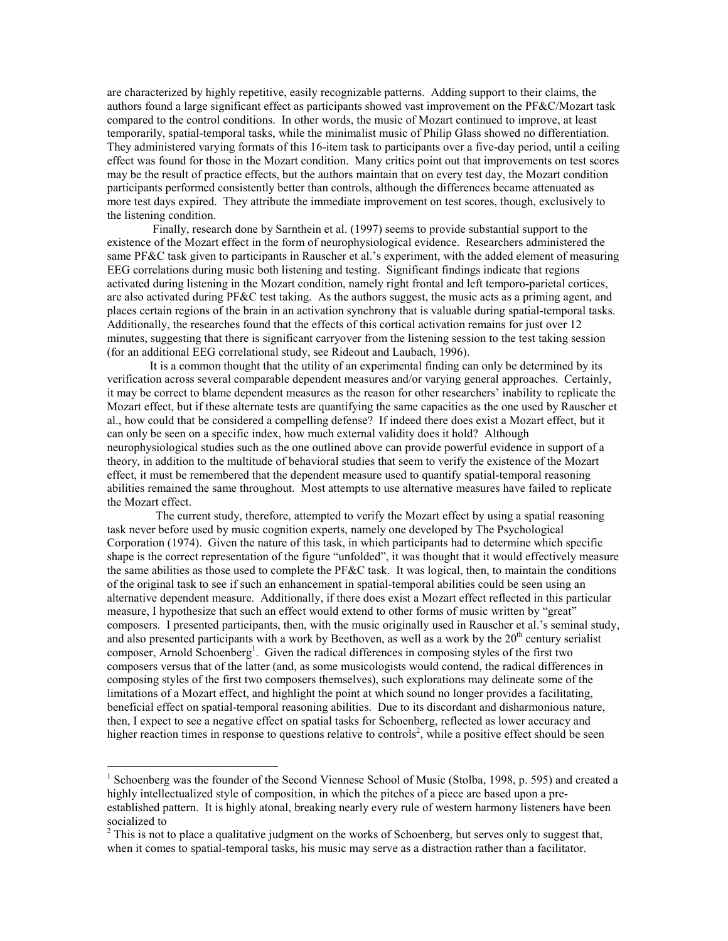are characterized by highly repetitive, easily recognizable patterns. Adding support to their claims, the authors found a large significant effect as participants showed vast improvement on the PF&C/Mozart task compared to the control conditions. In other words, the music of Mozart continued to improve, at least temporarily, spatial-temporal tasks, while the minimalist music of Philip Glass showed no differentiation. They administered varying formats of this 16-item task to participants over a five-day period, until a ceiling effect was found for those in the Mozart condition. Many critics point out that improvements on test scores may be the result of practice effects, but the authors maintain that on every test day, the Mozart condition participants performed consistently better than controls, although the differences became attenuated as more test days expired. They attribute the immediate improvement on test scores, though, exclusively to the listening condition.

 Finally, research done by Sarnthein et al. (1997) seems to provide substantial support to the existence of the Mozart effect in the form of neurophysiological evidence. Researchers administered the same PF&C task given to participants in Rauscher et al.'s experiment, with the added element of measuring EEG correlations during music both listening and testing. Significant findings indicate that regions activated during listening in the Mozart condition, namely right frontal and left temporo-parietal cortices, are also activated during PF&C test taking. As the authors suggest, the music acts as a priming agent, and places certain regions of the brain in an activation synchrony that is valuable during spatial-temporal tasks. Additionally, the researches found that the effects of this cortical activation remains for just over 12 minutes, suggesting that there is significant carryover from the listening session to the test taking session (for an additional EEG correlational study, see Rideout and Laubach, 1996).

 It is a common thought that the utility of an experimental finding can only be determined by its verification across several comparable dependent measures and/or varying general approaches. Certainly, it may be correct to blame dependent measures as the reason for other researchers' inability to replicate the Mozart effect, but if these alternate tests are quantifying the same capacities as the one used by Rauscher et al., how could that be considered a compelling defense? If indeed there does exist a Mozart effect, but it can only be seen on a specific index, how much external validity does it hold? Although neurophysiological studies such as the one outlined above can provide powerful evidence in support of a theory, in addition to the multitude of behavioral studies that seem to verify the existence of the Mozart effect, it must be remembered that the dependent measure used to quantify spatial-temporal reasoning abilities remained the same throughout. Most attempts to use alternative measures have failed to replicate the Mozart effect.

 The current study, therefore, attempted to verify the Mozart effect by using a spatial reasoning task never before used by music cognition experts, namely one developed by The Psychological Corporation (1974). Given the nature of this task, in which participants had to determine which specific shape is the correct representation of the figure "unfolded", it was thought that it would effectively measure the same abilities as those used to complete the  $P$ F&C task. It was logical, then, to maintain the conditions of the original task to see if such an enhancement in spatial-temporal abilities could be seen using an alternative dependent measure. Additionally, if there does exist a Mozart effect reflected in this particular measure, I hypothesize that such an effect would extend to other forms of music written by "great" composers. I presented participants, then, with the music originally used in Rauscher et al.'s seminal study, and also presented participants with a work by Beethoven, as well as a work by the  $20<sup>th</sup>$  century serialist composer, Arnold Schoenberg<sup>1</sup>. Given the radical differences in composing styles of the first two composers versus that of the latter (and, as some musicologists would contend, the radical differences in composing styles of the first two composers themselves), such explorations may delineate some of the limitations of a Mozart effect, and highlight the point at which sound no longer provides a facilitating, beneficial effect on spatial-temporal reasoning abilities. Due to its discordant and disharmonious nature, then, I expect to see a negative effect on spatial tasks for Schoenberg, reflected as lower accuracy and higher reaction times in response to questions relative to controls<sup>2</sup>, while a positive effect should be seen

 $\overline{a}$ 

<sup>&</sup>lt;sup>1</sup> Schoenberg was the founder of the Second Viennese School of Music (Stolba, 1998, p. 595) and created a highly intellectualized style of composition, in which the pitches of a piece are based upon a preestablished pattern. It is highly atonal, breaking nearly every rule of western harmony listeners have been socialized to

 $2^{2}$  This is not to place a qualitative judgment on the works of Schoenberg, but serves only to suggest that, when it comes to spatial-temporal tasks, his music may serve as a distraction rather than a facilitator.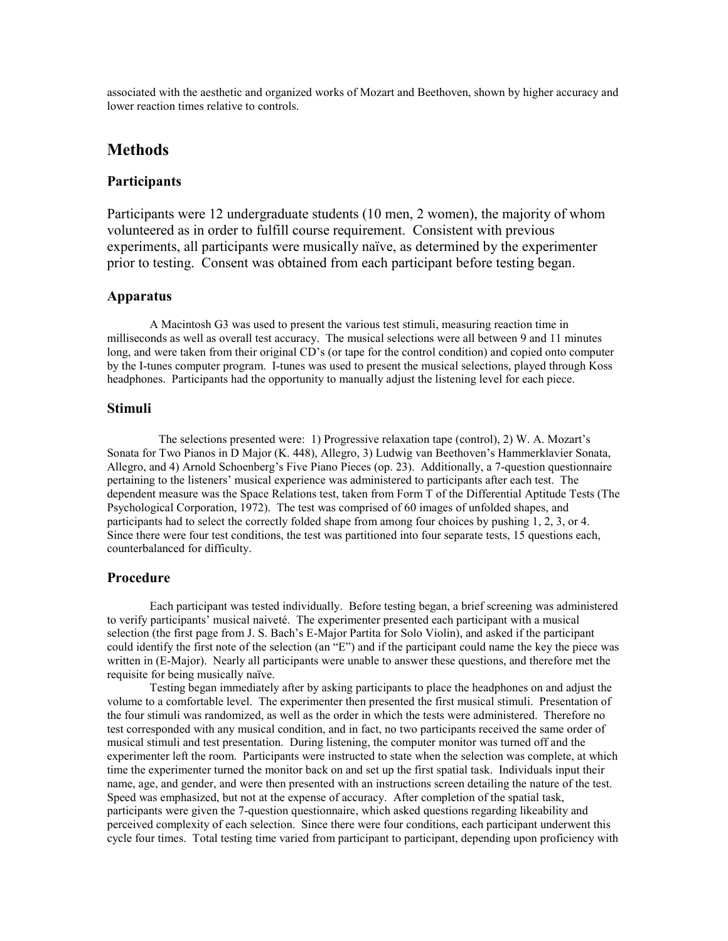associated with the aesthetic and organized works of Mozart and Beethoven, shown by higher accuracy and lower reaction times relative to controls.

## **Methods**

#### **Participants**

Participants were 12 undergraduate students (10 men, 2 women), the majority of whom volunteered as in order to fulfill course requirement. Consistent with previous experiments, all participants were musically naïve, as determined by the experimenter prior to testing. Consent was obtained from each participant before testing began.

#### **Apparatus**

 A Macintosh G3 was used to present the various test stimuli, measuring reaction time in milliseconds as well as overall test accuracy. The musical selections were all between 9 and 11 minutes long, and were taken from their original CD's (or tape for the control condition) and copied onto computer by the I-tunes computer program. I-tunes was used to present the musical selections, played through Koss headphones. Participants had the opportunity to manually adjust the listening level for each piece.

#### **Stimuli**

 The selections presented were: 1) Progressive relaxation tape (control), 2) W. A. Mozart's Sonata for Two Pianos in D Major (K. 448), Allegro, 3) Ludwig van Beethoven's Hammerklavier Sonata, Allegro, and 4) Arnold Schoenberg's Five Piano Pieces (op. 23). Additionally, a 7-question questionnaire pertaining to the listeners' musical experience was administered to participants after each test. The dependent measure was the Space Relations test, taken from Form T of the Differential Aptitude Tests (The Psychological Corporation, 1972). The test was comprised of 60 images of unfolded shapes, and participants had to select the correctly folded shape from among four choices by pushing 1, 2, 3, or 4. Since there were four test conditions, the test was partitioned into four separate tests, 15 questions each, counterbalanced for difficulty.

#### **Procedure**

 Each participant was tested individually. Before testing began, a brief screening was administered to verify participants' musical naiveté. The experimenter presented each participant with a musical selection (the first page from J. S. Bach's E-Major Partita for Solo Violin), and asked if the participant could identify the first note of the selection (an "E") and if the participant could name the key the piece was written in (E-Major). Nearly all participants were unable to answer these questions, and therefore met the requisite for being musically naïve.

 Testing began immediately after by asking participants to place the headphones on and adjust the volume to a comfortable level. The experimenter then presented the first musical stimuli. Presentation of the four stimuli was randomized, as well as the order in which the tests were administered. Therefore no test corresponded with any musical condition, and in fact, no two participants received the same order of musical stimuli and test presentation. During listening, the computer monitor was turned off and the experimenter left the room. Participants were instructed to state when the selection was complete, at which time the experimenter turned the monitor back on and set up the first spatial task. Individuals input their name, age, and gender, and were then presented with an instructions screen detailing the nature of the test. Speed was emphasized, but not at the expense of accuracy. After completion of the spatial task, participants were given the 7-question questionnaire, which asked questions regarding likeability and perceived complexity of each selection. Since there were four conditions, each participant underwent this cycle four times. Total testing time varied from participant to participant, depending upon proficiency with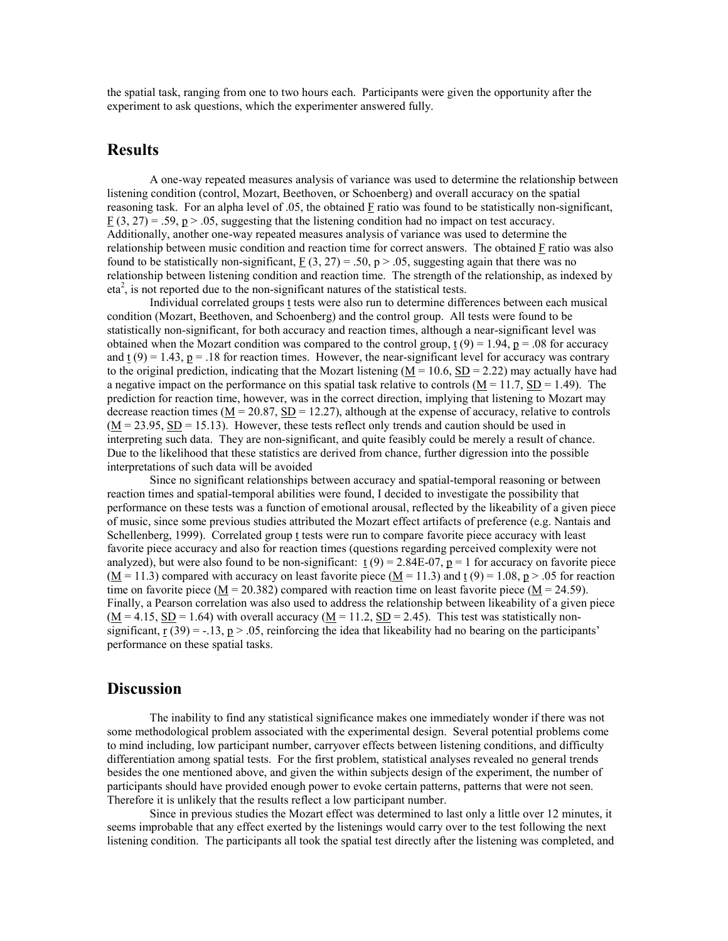the spatial task, ranging from one to two hours each. Participants were given the opportunity after the experiment to ask questions, which the experimenter answered fully.

## **Results**

 A one-way repeated measures analysis of variance was used to determine the relationship between listening condition (control, Mozart, Beethoven, or Schoenberg) and overall accuracy on the spatial reasoning task. For an alpha level of .05, the obtained F ratio was found to be statistically non-significant,  $\underline{F}(3, 27) = .59, \underline{p} > .05$ , suggesting that the listening condition had no impact on test accuracy. Additionally, another one-way repeated measures analysis of variance was used to determine the relationship between music condition and reaction time for correct answers. The obtained F ratio was also found to be statistically non-significant,  $F(3, 27) = .50$ ,  $p > .05$ , suggesting again that there was no relationship between listening condition and reaction time. The strength of the relationship, as indexed by  $eta<sup>2</sup>$ , is not reported due to the non-significant natures of the statistical tests.

 Individual correlated groups t tests were also run to determine differences between each musical condition (Mozart, Beethoven, and Schoenberg) and the control group. All tests were found to be statistically non-significant, for both accuracy and reaction times, although a near-significant level was obtained when the Mozart condition was compared to the control group,  $t(9) = 1.94$ ,  $p = .08$  for accuracy and  $\underline{t}(9) = 1.43$ ,  $\underline{p} = .18$  for reaction times. However, the near-significant level for accuracy was contrary to the original prediction, indicating that the Mozart listening ( $\underline{M} = 10.6$ ,  $\underline{SD} = 2.22$ ) may actually have had a negative impact on the performance on this spatial task relative to controls ( $\underline{M} = 11.7$ ,  $\underline{SD} = 1.49$ ). The prediction for reaction time, however, was in the correct direction, implying that listening to Mozart may decrease reaction times ( $\underline{M} = 20.87$ ,  $\underline{SD} = 12.27$ ), although at the expense of accuracy, relative to controls  $(M = 23.95, SD = 15.13)$ . However, these tests reflect only trends and caution should be used in interpreting such data. They are non-significant, and quite feasibly could be merely a result of chance. Due to the likelihood that these statistics are derived from chance, further digression into the possible interpretations of such data will be avoided

 Since no significant relationships between accuracy and spatial-temporal reasoning or between reaction times and spatial-temporal abilities were found, I decided to investigate the possibility that performance on these tests was a function of emotional arousal, reflected by the likeability of a given piece of music, since some previous studies attributed the Mozart effect artifacts of preference (e.g. Nantais and Schellenberg, 1999). Correlated group t tests were run to compare favorite piece accuracy with least favorite piece accuracy and also for reaction times (questions regarding perceived complexity were not analyzed), but were also found to be non-significant:  $\mathbf{t}(9) = 2.84E-07$ ,  $\mathbf{p} = 1$  for accuracy on favorite piece  $(M = 11.3)$  compared with accuracy on least favorite piece  $(M = 11.3)$  and t  $(9) = 1.08$ , p > .05 for reaction time on favorite piece ( $M = 20.382$ ) compared with reaction time on least favorite piece ( $M = 24.59$ ). Finally, a Pearson correlation was also used to address the relationship between likeability of a given piece  $(M = 4.15, SD = 1.64)$  with overall accuracy  $(M = 11.2, SD = 2.45)$ . This test was statistically nonsignificant, r  $(39) = -13$ ,  $p > 0.05$ , reinforcing the idea that likeability had no bearing on the participants' performance on these spatial tasks.

## **Discussion**

 The inability to find any statistical significance makes one immediately wonder if there was not some methodological problem associated with the experimental design. Several potential problems come to mind including, low participant number, carryover effects between listening conditions, and difficulty differentiation among spatial tests. For the first problem, statistical analyses revealed no general trends besides the one mentioned above, and given the within subjects design of the experiment, the number of participants should have provided enough power to evoke certain patterns, patterns that were not seen. Therefore it is unlikely that the results reflect a low participant number.

 Since in previous studies the Mozart effect was determined to last only a little over 12 minutes, it seems improbable that any effect exerted by the listenings would carry over to the test following the next listening condition. The participants all took the spatial test directly after the listening was completed, and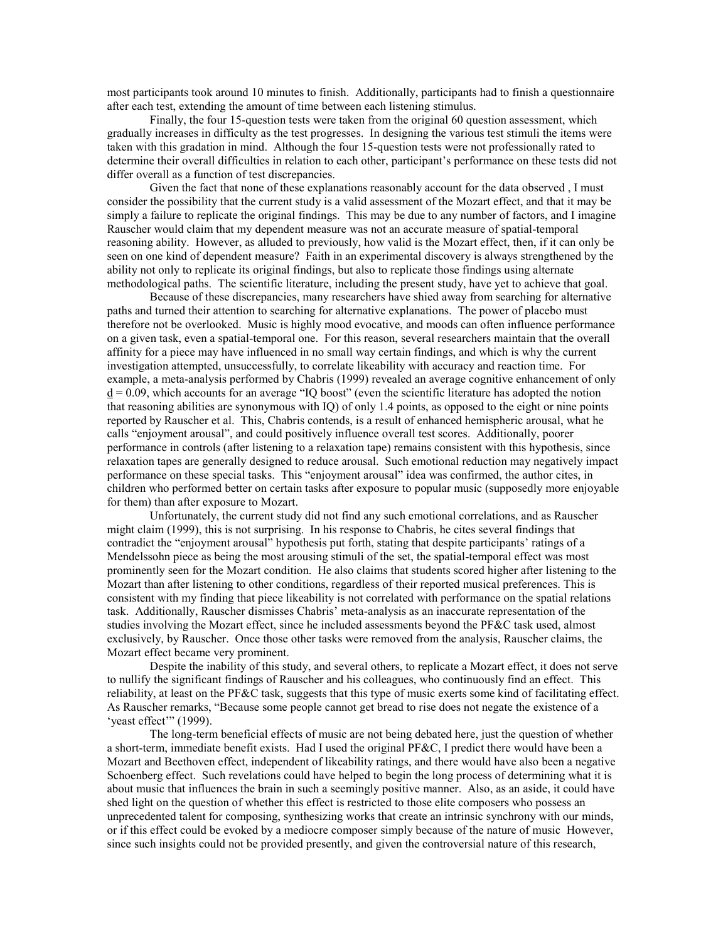most participants took around 10 minutes to finish. Additionally, participants had to finish a questionnaire after each test, extending the amount of time between each listening stimulus.

 Finally, the four 15-question tests were taken from the original 60 question assessment, which gradually increases in difficulty as the test progresses. In designing the various test stimuli the items were taken with this gradation in mind. Although the four 15-question tests were not professionally rated to determine their overall difficulties in relation to each other, participant's performance on these tests did not differ overall as a function of test discrepancies.

 Given the fact that none of these explanations reasonably account for the data observed , I must consider the possibility that the current study is a valid assessment of the Mozart effect, and that it may be simply a failure to replicate the original findings. This may be due to any number of factors, and I imagine Rauscher would claim that my dependent measure was not an accurate measure of spatial-temporal reasoning ability. However, as alluded to previously, how valid is the Mozart effect, then, if it can only be seen on one kind of dependent measure? Faith in an experimental discovery is always strengthened by the ability not only to replicate its original findings, but also to replicate those findings using alternate methodological paths. The scientific literature, including the present study, have yet to achieve that goal.

 Because of these discrepancies, many researchers have shied away from searching for alternative paths and turned their attention to searching for alternative explanations. The power of placebo must therefore not be overlooked. Music is highly mood evocative, and moods can often influence performance on a given task, even a spatial-temporal one. For this reason, several researchers maintain that the overall affinity for a piece may have influenced in no small way certain findings, and which is why the current investigation attempted, unsuccessfully, to correlate likeability with accuracy and reaction time. For example, a meta-analysis performed by Chabris (1999) revealed an average cognitive enhancement of only  $\underline{d} = 0.09$ , which accounts for an average "IQ boost" (even the scientific literature has adopted the notion that reasoning abilities are synonymous with IQ) of only 1.4 points, as opposed to the eight or nine points reported by Rauscher et al. This, Chabris contends, is a result of enhanced hemispheric arousal, what he calls "enjoyment arousal", and could positively influence overall test scores. Additionally, poorer performance in controls (after listening to a relaxation tape) remains consistent with this hypothesis, since relaxation tapes are generally designed to reduce arousal. Such emotional reduction may negatively impact performance on these special tasks. This "enjoyment arousal" idea was confirmed, the author cites, in children who performed better on certain tasks after exposure to popular music (supposedly more enjoyable for them) than after exposure to Mozart.

 Unfortunately, the current study did not find any such emotional correlations, and as Rauscher might claim (1999), this is not surprising. In his response to Chabris, he cites several findings that contradict the "enjoyment arousal" hypothesis put forth, stating that despite participants' ratings of a Mendelssohn piece as being the most arousing stimuli of the set, the spatial-temporal effect was most prominently seen for the Mozart condition. He also claims that students scored higher after listening to the Mozart than after listening to other conditions, regardless of their reported musical preferences. This is consistent with my finding that piece likeability is not correlated with performance on the spatial relations task. Additionally, Rauscher dismisses Chabris' meta-analysis as an inaccurate representation of the studies involving the Mozart effect, since he included assessments beyond the PF&C task used, almost exclusively, by Rauscher. Once those other tasks were removed from the analysis, Rauscher claims, the Mozart effect became very prominent.

Despite the inability of this study, and several others, to replicate a Mozart effect, it does not serve to nullify the significant findings of Rauscher and his colleagues, who continuously find an effect. This reliability, at least on the PF&C task, suggests that this type of music exerts some kind of facilitating effect. As Rauscher remarks, "Because some people cannot get bread to rise does not negate the existence of a 'yeast effect'" (1999).

The long-term beneficial effects of music are not being debated here, just the question of whether a short-term, immediate benefit exists. Had I used the original PF&C, I predict there would have been a Mozart and Beethoven effect, independent of likeability ratings, and there would have also been a negative Schoenberg effect. Such revelations could have helped to begin the long process of determining what it is about music that influences the brain in such a seemingly positive manner. Also, as an aside, it could have shed light on the question of whether this effect is restricted to those elite composers who possess an unprecedented talent for composing, synthesizing works that create an intrinsic synchrony with our minds, or if this effect could be evoked by a mediocre composer simply because of the nature of music However, since such insights could not be provided presently, and given the controversial nature of this research,